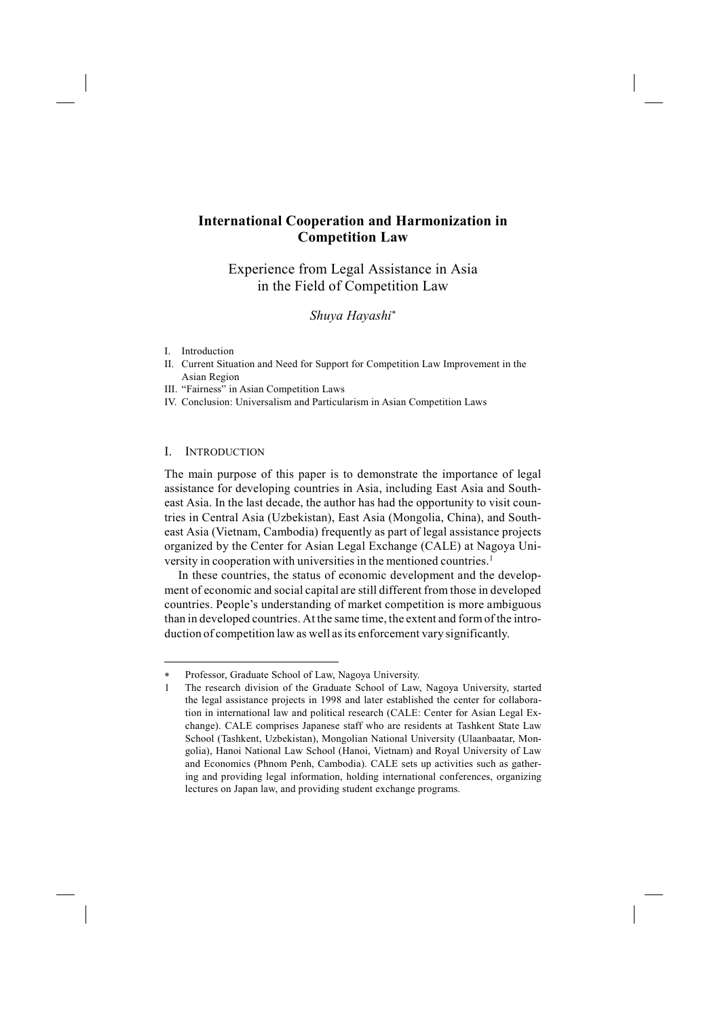# **International Cooperation and Harmonization in Competition Law**

Experience from Legal Assistance in Asia in the Field of Competition Law

*Shuya Hayashi*<sup>∗</sup>

- I. Introduction
- II. Current Situation and Need for Support for Competition Law Improvement in the Asian Region
- III. "Fairness" in Asian Competition Laws
- IV. Conclusion: Universalism and Particularism in Asian Competition Laws

### I. INTRODUCTION

-

The main purpose of this paper is to demonstrate the importance of legal assistance for developing countries in Asia, including East Asia and Southeast Asia. In the last decade, the author has had the opportunity to visit countries in Central Asia (Uzbekistan), East Asia (Mongolia, China), and Southeast Asia (Vietnam, Cambodia) frequently as part of legal assistance projects organized by the Center for Asian Legal Exchange (CALE) at Nagoya University in cooperation with universities in the mentioned countries.<sup>1</sup>

In these countries, the status of economic development and the development of economic and social capital are still different from those in developed countries. People's understanding of market competition is more ambiguous than in developed countries. At the same time, the extent and form of the introduction of competition law as well as its enforcement vary significantly.

<sup>∗</sup> Professor, Graduate School of Law, Nagoya University.

<sup>1</sup> The research division of the Graduate School of Law, Nagoya University, started the legal assistance projects in 1998 and later established the center for collaboration in international law and political research (CALE: Center for Asian Legal Exchange). CALE comprises Japanese staff who are residents at Tashkent State Law School (Tashkent, Uzbekistan), Mongolian National University (Ulaanbaatar, Mongolia), Hanoi National Law School (Hanoi, Vietnam) and Royal University of Law and Economics (Phnom Penh, Cambodia). CALE sets up activities such as gathering and providing legal information, holding international conferences, organizing lectures on Japan law, and providing student exchange programs.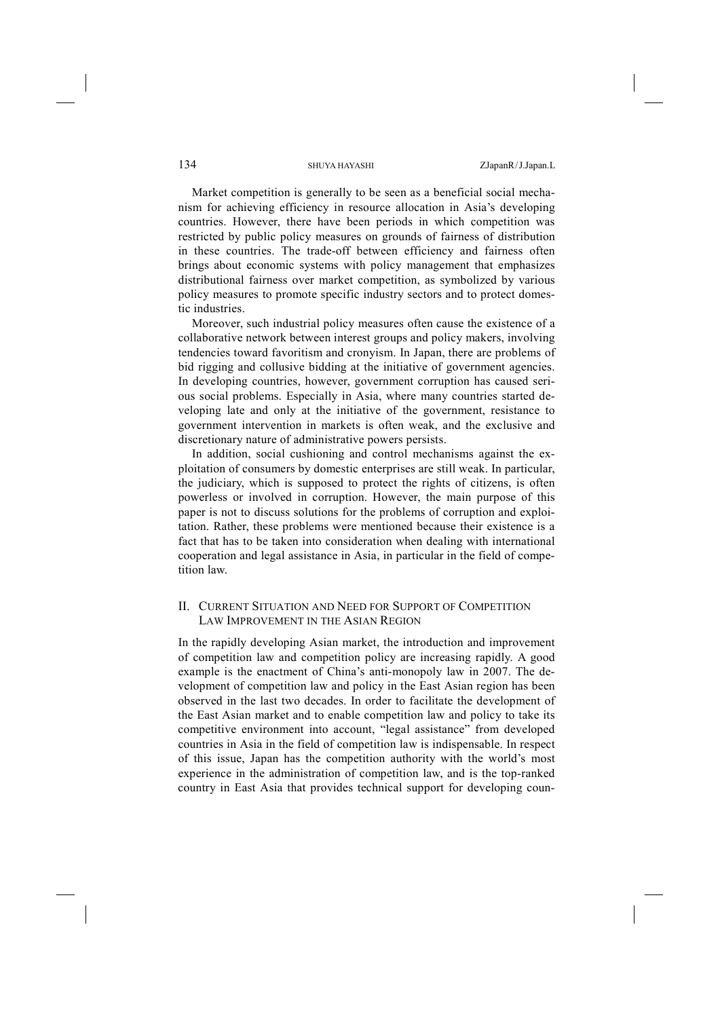Market competition is generally to be seen as a beneficial social mechanism for achieving efficiency in resource allocation in Asia's developing countries. However, there have been periods in which competition was restricted by public policy measures on grounds of fairness of distribution in these countries. The trade-off between efficiency and fairness often brings about economic systems with policy management that emphasizes distributional fairness over market competition, as symbolized by various policy measures to promote specific industry sectors and to protect domestic industries.

Moreover, such industrial policy measures often cause the existence of a collaborative network between interest groups and policy makers, involving tendencies toward favoritism and cronyism. In Japan, there are problems of bid rigging and collusive bidding at the initiative of government agencies. In developing countries, however, government corruption has caused serious social problems. Especially in Asia, where many countries started developing late and only at the initiative of the government, resistance to government intervention in markets is often weak, and the exclusive and discretionary nature of administrative powers persists.

In addition, social cushioning and control mechanisms against the exploitation of consumers by domestic enterprises are still weak. In particular, the judiciary, which is supposed to protect the rights of citizens, is often powerless or involved in corruption. However, the main purpose of this paper is not to discuss solutions for the problems of corruption and exploitation. Rather, these problems were mentioned because their existence is a fact that has to be taken into consideration when dealing with international cooperation and legal assistance in Asia, in particular in the field of competition law.

## II. CURRENT SITUATION AND NEED FOR SUPPORT OF COMPETITION LAW IMPROVEMENT IN THE ASIAN REGION

In the rapidly developing Asian market, the introduction and improvement of competition law and competition policy are increasing rapidly. A good example is the enactment of China's anti-monopoly law in 2007. The development of competition law and policy in the East Asian region has been observed in the last two decades. In order to facilitate the development of the East Asian market and to enable competition law and policy to take its competitive environment into account, "legal assistance" from developed countries in Asia in the field of competition law is indispensable. In respect of this issue, Japan has the competition authority with the world's most experience in the administration of competition law, and is the top-ranked country in East Asia that provides technical support for developing coun-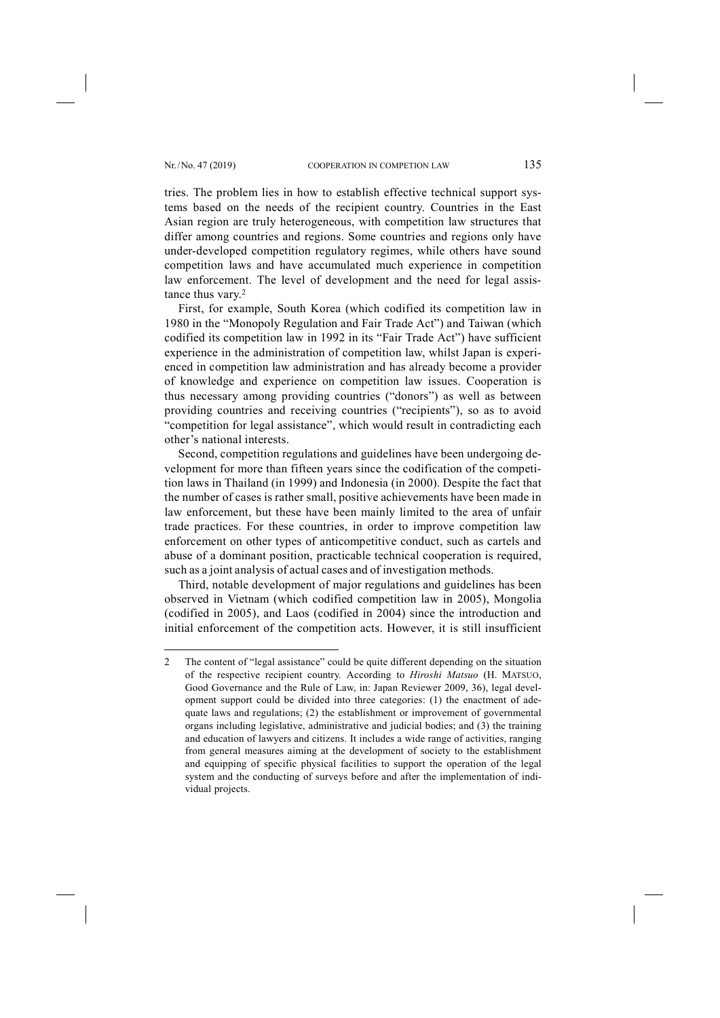-

tries. The problem lies in how to establish effective technical support systems based on the needs of the recipient country. Countries in the East Asian region are truly heterogeneous, with competition law structures that differ among countries and regions. Some countries and regions only have under-developed competition regulatory regimes, while others have sound competition laws and have accumulated much experience in competition law enforcement. The level of development and the need for legal assistance thus vary. 2

First, for example, South Korea (which codified its competition law in 1980 in the "Monopoly Regulation and Fair Trade Act") and Taiwan (which codified its competition law in 1992 in its "Fair Trade Act") have sufficient experience in the administration of competition law, whilst Japan is experienced in competition law administration and has already become a provider of knowledge and experience on competition law issues. Cooperation is thus necessary among providing countries ("donors") as well as between providing countries and receiving countries ("recipients"), so as to avoid "competition for legal assistance", which would result in contradicting each other's national interests.

Second, competition regulations and guidelines have been undergoing development for more than fifteen years since the codification of the competition laws in Thailand (in 1999) and Indonesia (in 2000). Despite the fact that the number of cases is rather small, positive achievements have been made in law enforcement, but these have been mainly limited to the area of unfair trade practices. For these countries, in order to improve competition law enforcement on other types of anticompetitive conduct, such as cartels and abuse of a dominant position, practicable technical cooperation is required, such as a joint analysis of actual cases and of investigation methods.

Third, notable development of major regulations and guidelines has been observed in Vietnam (which codified competition law in 2005), Mongolia (codified in 2005), and Laos (codified in 2004) since the introduction and initial enforcement of the competition acts. However, it is still insufficient

<sup>2</sup> The content of "legal assistance" could be quite different depending on the situation of the respective recipient country. According to *Hiroshi Matsuo* (H. MATSUO, Good Governance and the Rule of Law, in: Japan Reviewer 2009, 36), legal development support could be divided into three categories: (1) the enactment of adequate laws and regulations; (2) the establishment or improvement of governmental organs including legislative, administrative and judicial bodies; and (3) the training and education of lawyers and citizens. It includes a wide range of activities, ranging from general measures aiming at the development of society to the establishment and equipping of specific physical facilities to support the operation of the legal system and the conducting of surveys before and after the implementation of individual projects.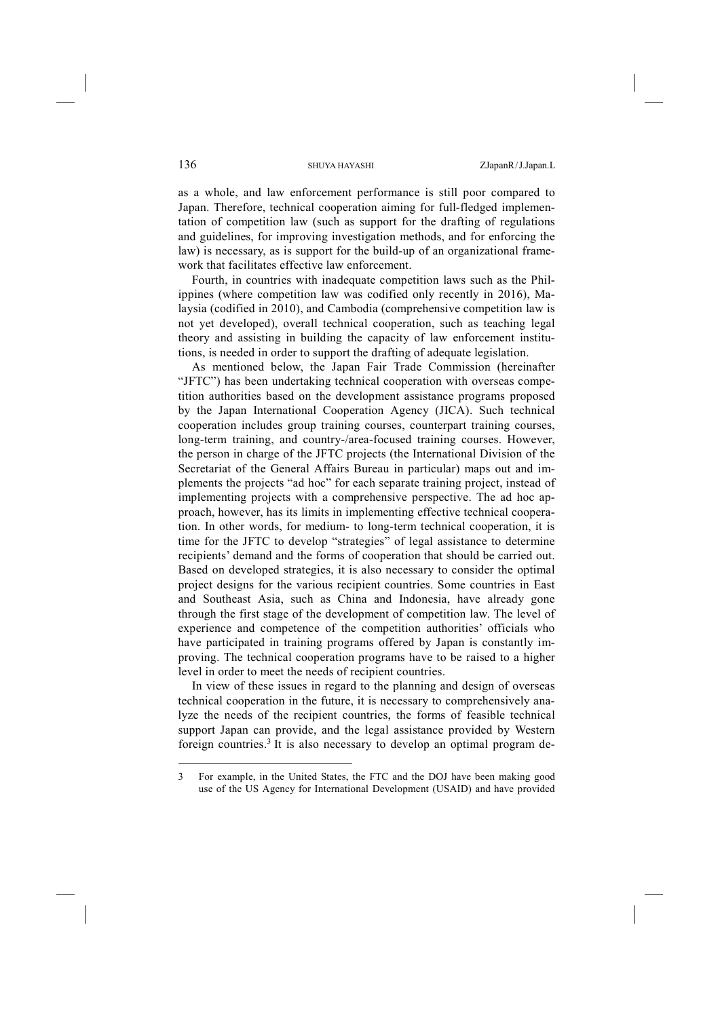as a whole, and law enforcement performance is still poor compared to Japan. Therefore, technical cooperation aiming for full-fledged implementation of competition law (such as support for the drafting of regulations and guidelines, for improving investigation methods, and for enforcing the law) is necessary, as is support for the build-up of an organizational framework that facilitates effective law enforcement.

Fourth, in countries with inadequate competition laws such as the Philippines (where competition law was codified only recently in 2016), Malaysia (codified in 2010), and Cambodia (comprehensive competition law is not yet developed), overall technical cooperation, such as teaching legal theory and assisting in building the capacity of law enforcement institutions, is needed in order to support the drafting of adequate legislation.

As mentioned below, the Japan Fair Trade Commission (hereinafter "JFTC") has been undertaking technical cooperation with overseas competition authorities based on the development assistance programs proposed by the Japan International Cooperation Agency (JICA). Such technical cooperation includes group training courses, counterpart training courses, long-term training, and country-/area-focused training courses. However, the person in charge of the JFTC projects (the International Division of the Secretariat of the General Affairs Bureau in particular) maps out and implements the projects "ad hoc" for each separate training project, instead of implementing projects with a comprehensive perspective. The ad hoc approach, however, has its limits in implementing effective technical cooperation. In other words, for medium- to long-term technical cooperation, it is time for the JFTC to develop "strategies" of legal assistance to determine recipients' demand and the forms of cooperation that should be carried out. Based on developed strategies, it is also necessary to consider the optimal project designs for the various recipient countries. Some countries in East and Southeast Asia, such as China and Indonesia, have already gone through the first stage of the development of competition law. The level of experience and competence of the competition authorities' officials who have participated in training programs offered by Japan is constantly improving. The technical cooperation programs have to be raised to a higher level in order to meet the needs of recipient countries.

In view of these issues in regard to the planning and design of overseas technical cooperation in the future, it is necessary to comprehensively analyze the needs of the recipient countries, the forms of feasible technical support Japan can provide, and the legal assistance provided by Western foreign countries.3 It is also necessary to develop an optimal program de-

-

<sup>3</sup> For example, in the United States, the FTC and the DOJ have been making good use of the US Agency for International Development (USAID) and have provided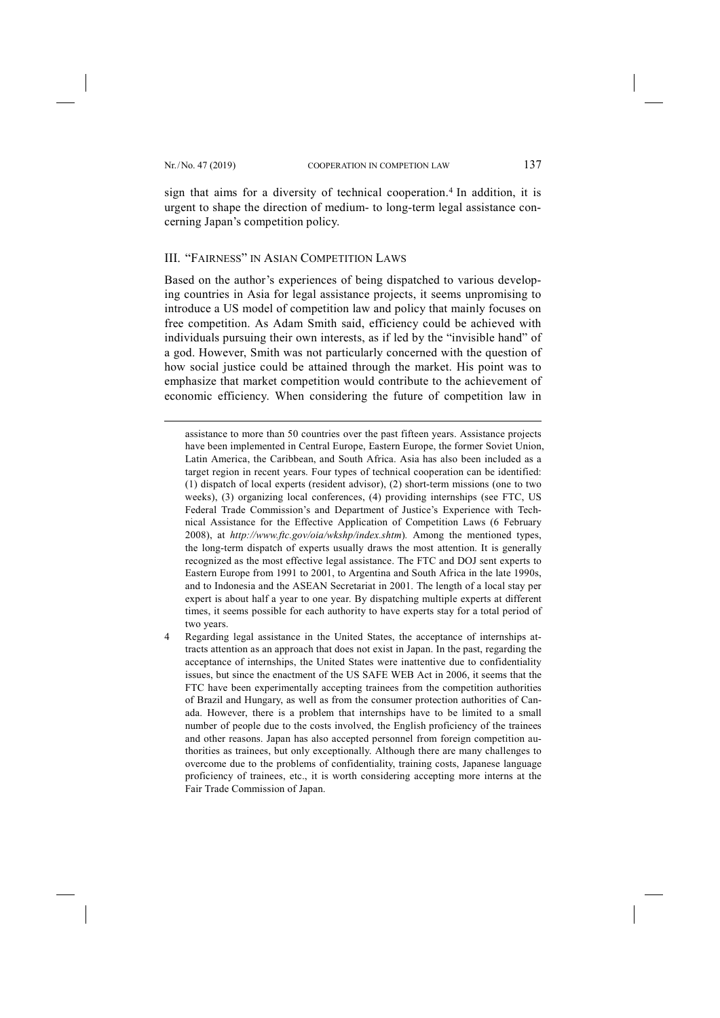-

sign that aims for a diversity of technical cooperation. <sup>4</sup> In addition, it is urgent to shape the direction of medium- to long-term legal assistance concerning Japan's competition policy.

## III. "FAIRNESS" IN ASIAN COMPETITION LAWS

Based on the author's experiences of being dispatched to various developing countries in Asia for legal assistance projects, it seems unpromising to introduce a US model of competition law and policy that mainly focuses on free competition. As Adam Smith said, efficiency could be achieved with individuals pursuing their own interests, as if led by the "invisible hand" of a god. However, Smith was not particularly concerned with the question of how social justice could be attained through the market. His point was to emphasize that market competition would contribute to the achievement of economic efficiency. When considering the future of competition law in

assistance to more than 50 countries over the past fifteen years. Assistance projects have been implemented in Central Europe, Eastern Europe, the former Soviet Union, Latin America, the Caribbean, and South Africa. Asia has also been included as a target region in recent years. Four types of technical cooperation can be identified: (1) dispatch of local experts (resident advisor), (2) short-term missions (one to two weeks), (3) organizing local conferences, (4) providing internships (see FTC, US Federal Trade Commission's and Department of Justice's Experience with Technical Assistance for the Effective Application of Competition Laws (6 February 2008), at *http://www.ftc.gov/oia/wkshp/index.shtm*)*.* Among the mentioned types, the long-term dispatch of experts usually draws the most attention. It is generally recognized as the most effective legal assistance. The FTC and DOJ sent experts to Eastern Europe from 1991 to 2001, to Argentina and South Africa in the late 1990s, and to Indonesia and the ASEAN Secretariat in 2001. The length of a local stay per expert is about half a year to one year. By dispatching multiple experts at different times, it seems possible for each authority to have experts stay for a total period of two years.

4 Regarding legal assistance in the United States, the acceptance of internships attracts attention as an approach that does not exist in Japan. In the past, regarding the acceptance of internships, the United States were inattentive due to confidentiality issues, but since the enactment of the US SAFE WEB Act in 2006, it seems that the FTC have been experimentally accepting trainees from the competition authorities of Brazil and Hungary, as well as from the consumer protection authorities of Canada. However, there is a problem that internships have to be limited to a small number of people due to the costs involved, the English proficiency of the trainees and other reasons. Japan has also accepted personnel from foreign competition authorities as trainees, but only exceptionally. Although there are many challenges to overcome due to the problems of confidentiality, training costs, Japanese language proficiency of trainees, etc., it is worth considering accepting more interns at the Fair Trade Commission of Japan.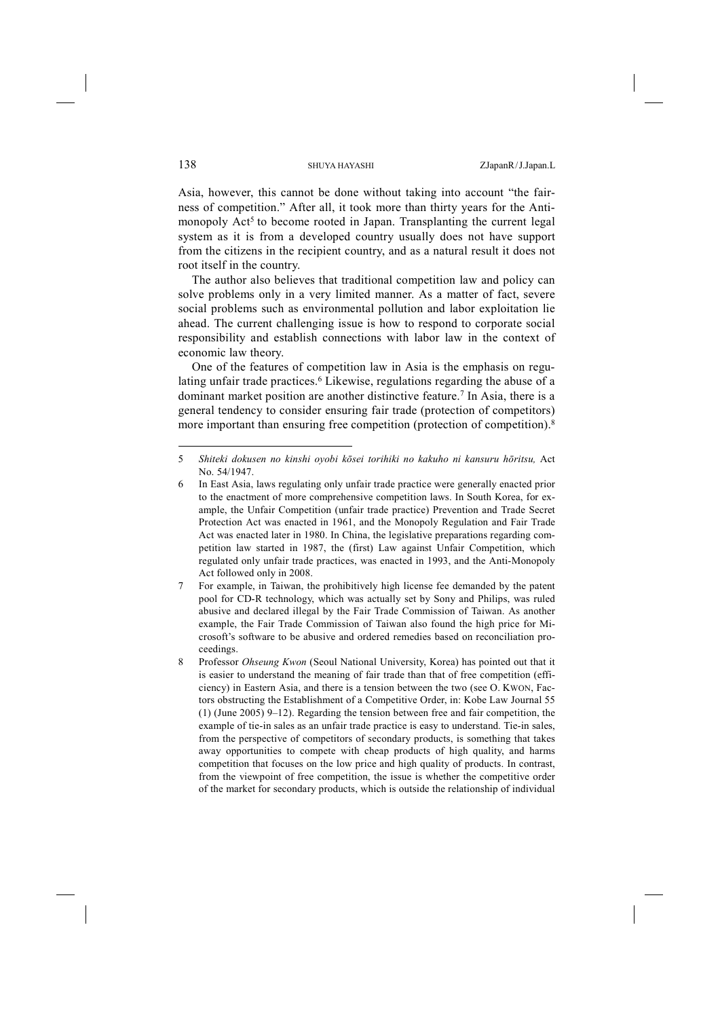Asia, however, this cannot be done without taking into account "the fairness of competition." After all, it took more than thirty years for the Antimonopoly  $\text{Act}^5$  to become rooted in Japan. Transplanting the current legal system as it is from a developed country usually does not have support from the citizens in the recipient country, and as a natural result it does not root itself in the country.

The author also believes that traditional competition law and policy can solve problems only in a very limited manner. As a matter of fact, severe social problems such as environmental pollution and labor exploitation lie ahead. The current challenging issue is how to respond to corporate social responsibility and establish connections with labor law in the context of economic law theory.

One of the features of competition law in Asia is the emphasis on regulating unfair trade practices. <sup>6</sup> Likewise, regulations regarding the abuse of a dominant market position are another distinctive feature. <sup>7</sup> In Asia, there is a general tendency to consider ensuring fair trade (protection of competitors) more important than ensuring free competition (protection of competition). 8

-

<sup>5</sup> *Shiteki dokusen no kinshi oyobi kōsei torihiki no kakuho ni kansuru hōritsu,* Act No. 54/1947.

<sup>6</sup> In East Asia, laws regulating only unfair trade practice were generally enacted prior to the enactment of more comprehensive competition laws. In South Korea, for example, the Unfair Competition (unfair trade practice) Prevention and Trade Secret Protection Act was enacted in 1961, and the Monopoly Regulation and Fair Trade Act was enacted later in 1980. In China, the legislative preparations regarding competition law started in 1987, the (first) Law against Unfair Competition, which regulated only unfair trade practices, was enacted in 1993, and the Anti-Monopoly Act followed only in 2008.

<sup>7</sup> For example, in Taiwan, the prohibitively high license fee demanded by the patent pool for CD-R technology, which was actually set by Sony and Philips, was ruled abusive and declared illegal by the Fair Trade Commission of Taiwan. As another example, the Fair Trade Commission of Taiwan also found the high price for Microsoft's software to be abusive and ordered remedies based on reconciliation proceedings.

<sup>8</sup> Professor *Ohseung Kwon* (Seoul National University, Korea) has pointed out that it is easier to understand the meaning of fair trade than that of free competition (efficiency) in Eastern Asia, and there is a tension between the two (see O. KWON, Factors obstructing the Establishment of a Competitive Order, in: Kobe Law Journal 55 (1) (June 2005) 9–12). Regarding the tension between free and fair competition, the example of tie-in sales as an unfair trade practice is easy to understand. Tie-in sales, from the perspective of competitors of secondary products, is something that takes away opportunities to compete with cheap products of high quality, and harms competition that focuses on the low price and high quality of products. In contrast, from the viewpoint of free competition, the issue is whether the competitive order of the market for secondary products, which is outside the relationship of individual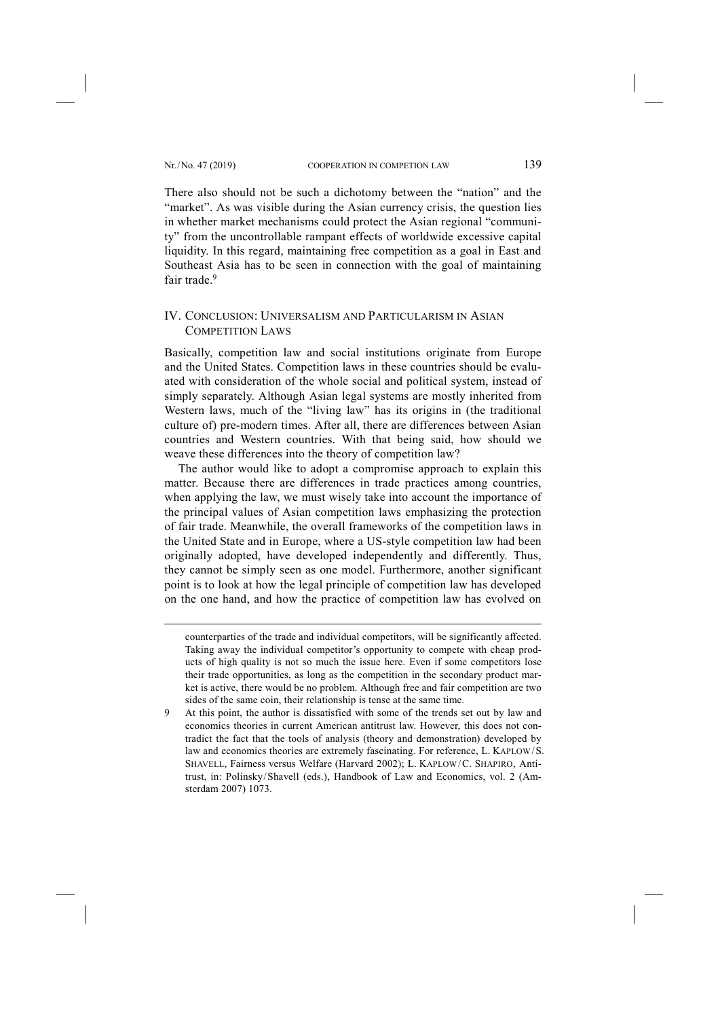-

There also should not be such a dichotomy between the "nation" and the "market". As was visible during the Asian currency crisis, the question lies in whether market mechanisms could protect the Asian regional "community" from the uncontrollable rampant effects of worldwide excessive capital liquidity. In this regard, maintaining free competition as a goal in East and Southeast Asia has to be seen in connection with the goal of maintaining fair trade. 9

### IV. CONCLUSION: UNIVERSALISM AND PARTICULARISM IN ASIAN COMPETITION LAWS

Basically, competition law and social institutions originate from Europe and the United States. Competition laws in these countries should be evaluated with consideration of the whole social and political system, instead of simply separately. Although Asian legal systems are mostly inherited from Western laws, much of the "living law" has its origins in (the traditional culture of) pre-modern times. After all, there are differences between Asian countries and Western countries. With that being said, how should we weave these differences into the theory of competition law?

The author would like to adopt a compromise approach to explain this matter. Because there are differences in trade practices among countries, when applying the law, we must wisely take into account the importance of the principal values of Asian competition laws emphasizing the protection of fair trade. Meanwhile, the overall frameworks of the competition laws in the United State and in Europe, where a US-style competition law had been originally adopted, have developed independently and differently. Thus, they cannot be simply seen as one model. Furthermore, another significant point is to look at how the legal principle of competition law has developed on the one hand, and how the practice of competition law has evolved on

counterparties of the trade and individual competitors, will be significantly affected. Taking away the individual competitor's opportunity to compete with cheap products of high quality is not so much the issue here. Even if some competitors lose their trade opportunities, as long as the competition in the secondary product market is active, there would be no problem. Although free and fair competition are two sides of the same coin, their relationship is tense at the same time.

<sup>9</sup> At this point, the author is dissatisfied with some of the trends set out by law and economics theories in current American antitrust law. However, this does not contradict the fact that the tools of analysis (theory and demonstration) developed by law and economics theories are extremely fascinating. For reference, L. KAPLOW/S. SHAVELL, Fairness versus Welfare (Harvard 2002); L. KAPLOW/C. SHAPIRO, Antitrust, in: Polinsky/Shavell (eds.), Handbook of Law and Economics, vol. 2 (Amsterdam 2007) 1073.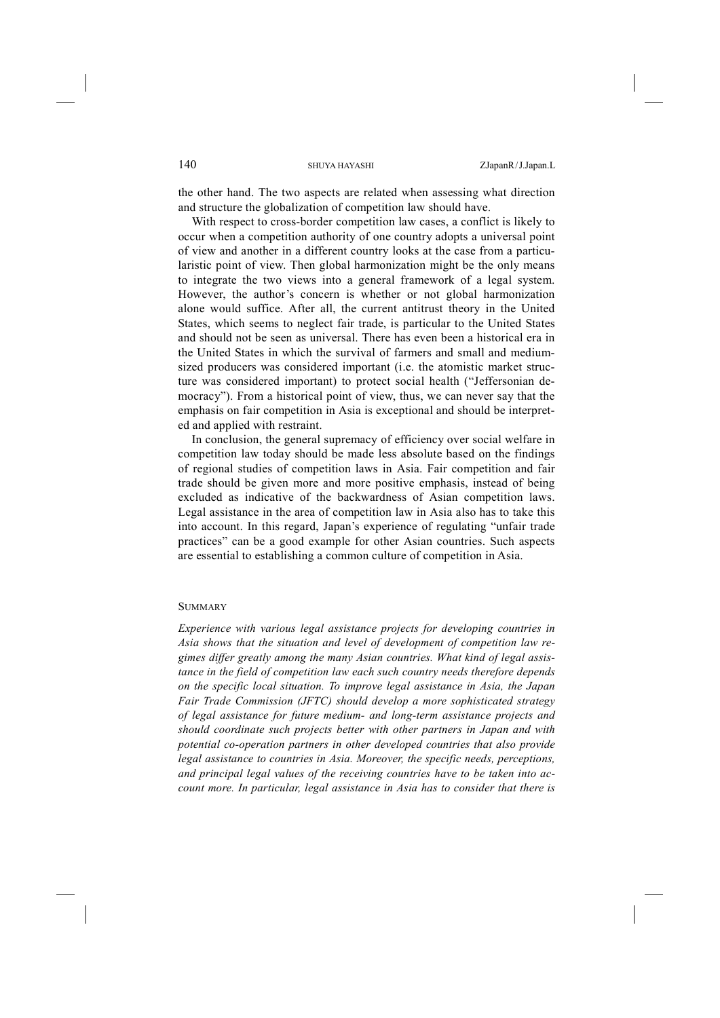the other hand. The two aspects are related when assessing what direction and structure the globalization of competition law should have.

With respect to cross-border competition law cases, a conflict is likely to occur when a competition authority of one country adopts a universal point of view and another in a different country looks at the case from a particularistic point of view. Then global harmonization might be the only means to integrate the two views into a general framework of a legal system. However, the author's concern is whether or not global harmonization alone would suffice. After all, the current antitrust theory in the United States, which seems to neglect fair trade, is particular to the United States and should not be seen as universal. There has even been a historical era in the United States in which the survival of farmers and small and mediumsized producers was considered important (i.e. the atomistic market structure was considered important) to protect social health ("Jeffersonian democracy"). From a historical point of view, thus, we can never say that the emphasis on fair competition in Asia is exceptional and should be interpreted and applied with restraint.

In conclusion, the general supremacy of efficiency over social welfare in competition law today should be made less absolute based on the findings of regional studies of competition laws in Asia. Fair competition and fair trade should be given more and more positive emphasis, instead of being excluded as indicative of the backwardness of Asian competition laws. Legal assistance in the area of competition law in Asia also has to take this into account. In this regard, Japan's experience of regulating "unfair trade practices" can be a good example for other Asian countries. Such aspects are essential to establishing a common culture of competition in Asia.

### **SUMMARY**

*Experience with various legal assistance projects for developing countries in Asia shows that the situation and level of development of competition law regimes differ greatly among the many Asian countries. What kind of legal assistance in the field of competition law each such country needs therefore depends on the specific local situation. To improve legal assistance in Asia, the Japan Fair Trade Commission (JFTC) should develop a more sophisticated strategy of legal assistance for future medium- and long-term assistance projects and should coordinate such projects better with other partners in Japan and with potential co-operation partners in other developed countries that also provide legal assistance to countries in Asia. Moreover, the specific needs, perceptions, and principal legal values of the receiving countries have to be taken into account more. In particular, legal assistance in Asia has to consider that there is*